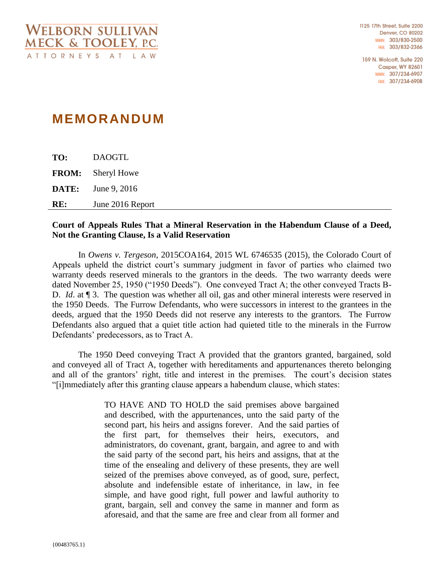1125 17th Street, Suite 2200 Denver, CO 80202 MAIN: 303/830-2500 FAX: 303/832-2366

159 N. Wolcott, Suite 220 **Casper, WY 82601** MAIN: 307/234-6907 FAX: 307/234-6908

# **MEMORANDUM**

**TO:** DAOGTL **FROM:** Sheryl Howe **DATE:** June 9, 2016 **RE:** June 2016 Report

# **Court of Appeals Rules That a Mineral Reservation in the Habendum Clause of a Deed, Not the Granting Clause, Is a Valid Reservation**

In *Owens v. Tergeson*, 2015COA164, 2015 WL 6746535 (2015), the Colorado Court of Appeals upheld the district court's summary judgment in favor of parties who claimed two warranty deeds reserved minerals to the grantors in the deeds. The two warranty deeds were dated November 25, 1950 ("1950 Deeds"). One conveyed Tract A; the other conveyed Tracts B-D. *Id.* at  $\P$  3. The question was whether all oil, gas and other mineral interests were reserved in the 1950 Deeds. The Furrow Defendants, who were successors in interest to the grantees in the deeds, argued that the 1950 Deeds did not reserve any interests to the grantors. The Furrow Defendants also argued that a quiet title action had quieted title to the minerals in the Furrow Defendants' predecessors, as to Tract A.

The 1950 Deed conveying Tract A provided that the grantors granted, bargained, sold and conveyed all of Tract A, together with hereditaments and appurtenances thereto belonging and all of the grantors' right, title and interest in the premises. The court's decision states "[i]mmediately after this granting clause appears a habendum clause, which states:

> TO HAVE AND TO HOLD the said premises above bargained and described, with the appurtenances, unto the said party of the second part, his heirs and assigns forever. And the said parties of the first part, for themselves their heirs, executors, and administrators, do covenant, grant, bargain, and agree to and with the said party of the second part, his heirs and assigns, that at the time of the ensealing and delivery of these presents, they are well seized of the premises above conveyed, as of good, sure, perfect, absolute and indefensible estate of inheritance, in law, in fee simple, and have good right, full power and lawful authority to grant, bargain, sell and convey the same in manner and form as aforesaid, and that the same are free and clear from all former and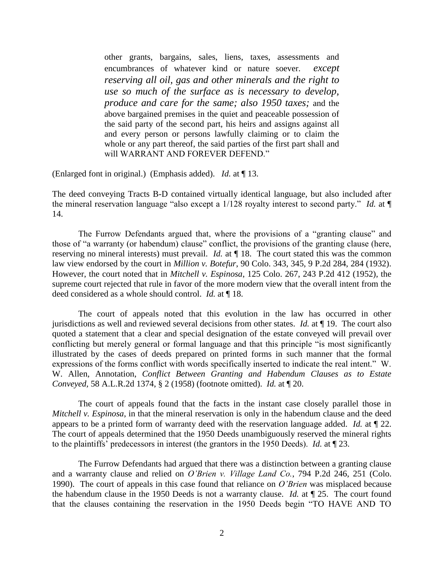other grants, bargains, sales, liens, taxes, assessments and encumbrances of whatever kind or nature soever. *except reserving all oil, gas and other minerals and the right to use so much of the surface as is necessary to develop, produce and care for the same; also 1950 taxes;* and the above bargained premises in the quiet and peaceable possession of the said party of the second part, his heirs and assigns against all and every person or persons lawfully claiming or to claim the whole or any part thereof, the said parties of the first part shall and will WARRANT AND FOREVER DEFEND."

(Enlarged font in original.) (Emphasis added). *Id.* at ¶ 13.

The deed conveying Tracts B-D contained virtually identical language, but also included after the mineral reservation language "also except a 1/128 royalty interest to second party." *Id.* at ¶ 14.

The Furrow Defendants argued that, where the provisions of a "granting clause" and those of "a warranty (or habendum) clause" conflict, the provisions of the granting clause (here, reserving no mineral interests) must prevail. *Id.* at ¶ 18. The court stated this was the common law view endorsed by the court in *Million v. Botefur*, 90 Colo. 343, 345, 9 P.2d 284, 284 (1932). However, the court noted that in *Mitchell v. Espinosa*, 125 Colo. 267, 243 P.2d 412 (1952), the supreme court rejected that rule in favor of the more modern view that the overall intent from the deed considered as a whole should control. *Id.* at ¶ 18.

The court of appeals noted that this evolution in the law has occurred in other jurisdictions as well and reviewed several decisions from other states. *Id.* at ¶ 19. The court also quoted a statement that a clear and special designation of the estate conveyed will prevail over conflicting but merely general or formal language and that this principle "is most significantly illustrated by the cases of deeds prepared on printed forms in such manner that the formal expressions of the forms conflict with words specifically inserted to indicate the real intent." W. W. Allen, Annotation, *Conflict Between Granting and Habendum Clauses as to Estate Conveyed,* 58 A.L.R.2d 1374, § 2 (1958) (footnote omitted). *Id.* at ¶ 20.

The court of appeals found that the facts in the instant case closely parallel those in *Mitchell v. Espinosa*, in that the mineral reservation is only in the habendum clause and the deed appears to be a printed form of warranty deed with the reservation language added. *Id.* at ¶ 22. The court of appeals determined that the 1950 Deeds unambiguously reserved the mineral rights to the plaintiffs' predecessors in interest (the grantors in the 1950 Deeds). *Id.* at ¶ 23.

The Furrow Defendants had argued that there was a distinction between a granting clause and a warranty clause and relied on *O'Brien v. Village Land Co.*, 794 P.2d 246, 251 (Colo. 1990). The court of appeals in this case found that reliance on *O'Brien* was misplaced because the habendum clause in the 1950 Deeds is not a warranty clause. *Id.* at ¶ 25. The court found that the clauses containing the reservation in the 1950 Deeds begin "TO HAVE AND TO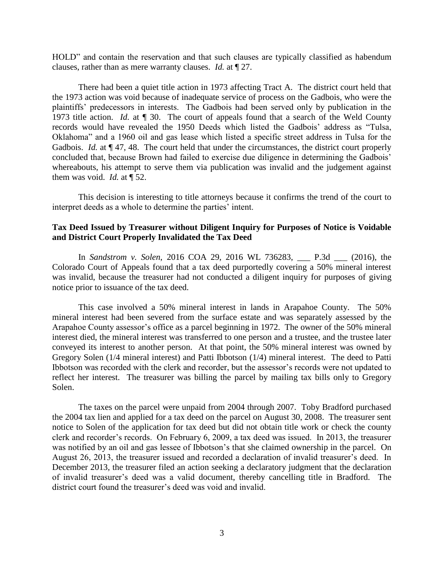HOLD" and contain the reservation and that such clauses are typically classified as habendum clauses, rather than as mere warranty clauses. *Id.* at ¶ 27.

There had been a quiet title action in 1973 affecting Tract A. The district court held that the 1973 action was void because of inadequate service of process on the Gadbois, who were the plaintiffs' predecessors in interests. The Gadbois had been served only by publication in the 1973 title action. *Id.* at ¶ 30. The court of appeals found that a search of the Weld County records would have revealed the 1950 Deeds which listed the Gadbois' address as "Tulsa, Oklahoma" and a 1960 oil and gas lease which listed a specific street address in Tulsa for the Gadbois. *Id.* at  $\P$  47, 48. The court held that under the circumstances, the district court properly concluded that, because Brown had failed to exercise due diligence in determining the Gadbois' whereabouts, his attempt to serve them via publication was invalid and the judgement against them was void. *Id.* at ¶ 52.

This decision is interesting to title attorneys because it confirms the trend of the court to interpret deeds as a whole to determine the parties' intent.

# **Tax Deed Issued by Treasurer without Diligent Inquiry for Purposes of Notice is Voidable and District Court Properly Invalidated the Tax Deed**

In *Sandstrom v. Solen*, 2016 COA 29, 2016 WL 736283, \_\_\_ P.3d \_\_\_ (2016), the Colorado Court of Appeals found that a tax deed purportedly covering a 50% mineral interest was invalid, because the treasurer had not conducted a diligent inquiry for purposes of giving notice prior to issuance of the tax deed.

This case involved a 50% mineral interest in lands in Arapahoe County. The 50% mineral interest had been severed from the surface estate and was separately assessed by the Arapahoe County assessor's office as a parcel beginning in 1972. The owner of the 50% mineral interest died, the mineral interest was transferred to one person and a trustee, and the trustee later conveyed its interest to another person. At that point, the 50% mineral interest was owned by Gregory Solen (1/4 mineral interest) and Patti Ibbotson (1/4) mineral interest. The deed to Patti Ibbotson was recorded with the clerk and recorder, but the assessor's records were not updated to reflect her interest. The treasurer was billing the parcel by mailing tax bills only to Gregory Solen.

The taxes on the parcel were unpaid from 2004 through 2007. Toby Bradford purchased the 2004 tax lien and applied for a tax deed on the parcel on August 30, 2008. The treasurer sent notice to Solen of the application for tax deed but did not obtain title work or check the county clerk and recorder's records. On February 6, 2009, a tax deed was issued. In 2013, the treasurer was notified by an oil and gas lessee of Ibbotson's that she claimed ownership in the parcel. On August 26, 2013, the treasurer issued and recorded a declaration of invalid treasurer's deed. In December 2013, the treasurer filed an action seeking a declaratory judgment that the declaration of invalid treasurer's deed was a valid document, thereby cancelling title in Bradford. The district court found the treasurer's deed was void and invalid.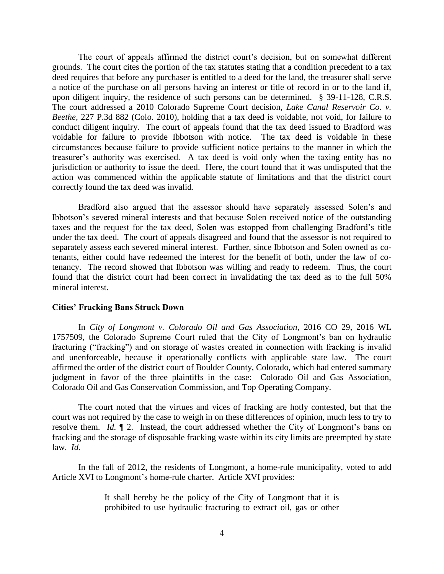The court of appeals affirmed the district court's decision, but on somewhat different grounds. The court cites the portion of the tax statutes stating that a condition precedent to a tax deed requires that before any purchaser is entitled to a deed for the land, the treasurer shall serve a notice of the purchase on all persons having an interest or title of record in or to the land if, upon diligent inquiry, the residence of such persons can be determined. § 39-11-128, C.R.S. The court addressed a 2010 Colorado Supreme Court decision, *Lake Canal Reservoir Co. v. Beethe,* 227 P.3d 882 (Colo. 2010), holding that a tax deed is voidable, not void, for failure to conduct diligent inquiry. The court of appeals found that the tax deed issued to Bradford was voidable for failure to provide Ibbotson with notice. The tax deed is voidable in these circumstances because failure to provide sufficient notice pertains to the manner in which the treasurer's authority was exercised. A tax deed is void only when the taxing entity has no jurisdiction or authority to issue the deed. Here, the court found that it was undisputed that the action was commenced within the applicable statute of limitations and that the district court correctly found the tax deed was invalid.

Bradford also argued that the assessor should have separately assessed Solen's and Ibbotson's severed mineral interests and that because Solen received notice of the outstanding taxes and the request for the tax deed, Solen was estopped from challenging Bradford's title under the tax deed. The court of appeals disagreed and found that the assessor is not required to separately assess each severed mineral interest. Further, since Ibbotson and Solen owned as cotenants, either could have redeemed the interest for the benefit of both, under the law of cotenancy. The record showed that Ibbotson was willing and ready to redeem. Thus, the court found that the district court had been correct in invalidating the tax deed as to the full 50% mineral interest.

#### **Cities' Fracking Bans Struck Down**

In *City of Longmont v. Colorado Oil and Gas Association*, 2016 CO 29, 2016 WL 1757509, the Colorado Supreme Court ruled that the City of Longmont's ban on hydraulic fracturing ("fracking") and on storage of wastes created in connection with fracking is invalid and unenforceable, because it operationally conflicts with applicable state law. The court affirmed the order of the district court of Boulder County, Colorado, which had entered summary judgment in favor of the three plaintiffs in the case: Colorado Oil and Gas Association, Colorado Oil and Gas Conservation Commission, and Top Operating Company.

The court noted that the virtues and vices of fracking are hotly contested, but that the court was not required by the case to weigh in on these differences of opinion, much less to try to resolve them. *Id.* ¶ 2. Instead, the court addressed whether the City of Longmont's bans on fracking and the storage of disposable fracking waste within its city limits are preempted by state law. *Id.*

In the fall of 2012, the residents of Longmont, a home-rule municipality, voted to add Article XVI to Longmont's home-rule charter. Article XVI provides:

> It shall hereby be the policy of the City of Longmont that it is prohibited to use hydraulic fracturing to extract oil, gas or other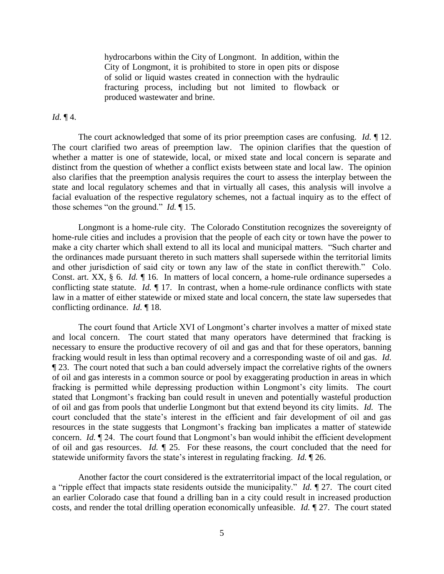hydrocarbons within the City of Longmont. In addition, within the City of Longmont, it is prohibited to store in open pits or dispose of solid or liquid wastes created in connection with the hydraulic fracturing process, including but not limited to flowback or produced wastewater and brine.

## *Id.* ¶ 4.

The court acknowledged that some of its prior preemption cases are confusing. *Id.* ¶ 12. The court clarified two areas of preemption law. The opinion clarifies that the question of whether a matter is one of statewide, local, or mixed state and local concern is separate and distinct from the question of whether a conflict exists between state and local law. The opinion also clarifies that the preemption analysis requires the court to assess the interplay between the state and local regulatory schemes and that in virtually all cases, this analysis will involve a facial evaluation of the respective regulatory schemes, not a factual inquiry as to the effect of those schemes "on the ground." *Id.* ¶ 15.

Longmont is a home-rule city. The Colorado Constitution recognizes the sovereignty of home-rule cities and includes a provision that the people of each city or town have the power to make a city charter which shall extend to all its local and municipal matters. "Such charter and the ordinances made pursuant thereto in such matters shall supersede within the territorial limits and other jurisdiction of said city or town any law of the state in conflict therewith." Colo. Const. art. XX, § 6. *Id.* ¶ 16. In matters of local concern, a home-rule ordinance supersedes a conflicting state statute. *Id.* ¶ 17. In contrast, when a home-rule ordinance conflicts with state law in a matter of either statewide or mixed state and local concern, the state law supersedes that conflicting ordinance. *Id.* ¶ 18.

The court found that Article XVI of Longmont's charter involves a matter of mixed state and local concern. The court stated that many operators have determined that fracking is necessary to ensure the productive recovery of oil and gas and that for these operators, banning fracking would result in less than optimal recovery and a corresponding waste of oil and gas. *Id.* ¶ 23. The court noted that such a ban could adversely impact the correlative rights of the owners of oil and gas interests in a common source or pool by exaggerating production in areas in which fracking is permitted while depressing production within Longmont's city limits. The court stated that Longmont's fracking ban could result in uneven and potentially wasteful production of oil and gas from pools that underlie Longmont but that extend beyond its city limits. *Id.* The court concluded that the state's interest in the efficient and fair development of oil and gas resources in the state suggests that Longmont's fracking ban implicates a matter of statewide concern. *Id.* ¶ 24. The court found that Longmont's ban would inhibit the efficient development of oil and gas resources. *Id.* ¶ 25. For these reasons, the court concluded that the need for statewide uniformity favors the state's interest in regulating fracking. *Id.* ¶ 26.

Another factor the court considered is the extraterritorial impact of the local regulation, or a "ripple effect that impacts state residents outside the municipality." *Id.* ¶ 27. The court cited an earlier Colorado case that found a drilling ban in a city could result in increased production costs, and render the total drilling operation economically unfeasible. *Id.* ¶ 27. The court stated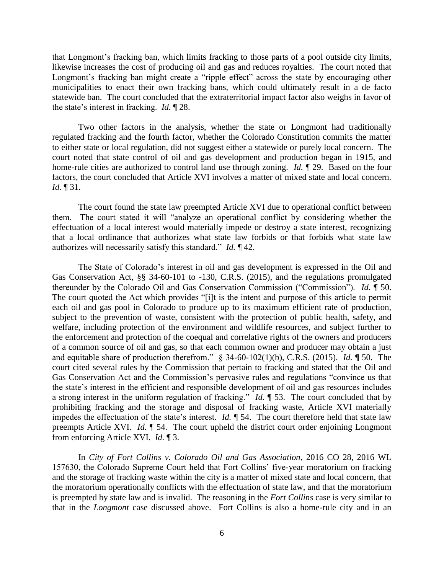that Longmont's fracking ban, which limits fracking to those parts of a pool outside city limits, likewise increases the cost of producing oil and gas and reduces royalties. The court noted that Longmont's fracking ban might create a "ripple effect" across the state by encouraging other municipalities to enact their own fracking bans, which could ultimately result in a de facto statewide ban. The court concluded that the extraterritorial impact factor also weighs in favor of the state's interest in fracking. *Id.* ¶ 28.

Two other factors in the analysis, whether the state or Longmont had traditionally regulated fracking and the fourth factor, whether the Colorado Constitution commits the matter to either state or local regulation, did not suggest either a statewide or purely local concern. The court noted that state control of oil and gas development and production began in 1915, and home-rule cities are authorized to control land use through zoning. *Id.* ¶ 29. Based on the four factors, the court concluded that Article XVI involves a matter of mixed state and local concern. *Id.* ¶ 31.

The court found the state law preempted Article XVI due to operational conflict between them. The court stated it will "analyze an operational conflict by considering whether the effectuation of a local interest would materially impede or destroy a state interest, recognizing that a local ordinance that authorizes what state law forbids or that forbids what state law authorizes will necessarily satisfy this standard." *Id.* ¶ 42.

The State of Colorado's interest in oil and gas development is expressed in the Oil and Gas Conservation Act, §§ 34-60-101 to -130, C.R.S. (2015), and the regulations promulgated thereunder by the Colorado Oil and Gas Conservation Commission ("Commission"). *Id.* ¶ 50. The court quoted the Act which provides "[i]t is the intent and purpose of this article to permit each oil and gas pool in Colorado to produce up to its maximum efficient rate of production, subject to the prevention of waste, consistent with the protection of public health, safety, and welfare, including protection of the environment and wildlife resources, and subject further to the enforcement and protection of the coequal and correlative rights of the owners and producers of a common source of oil and gas, so that each common owner and producer may obtain a just and equitable share of production therefrom." § 34-60-102(1)(b), C.R.S. (2015). *Id.* ¶ 50. The court cited several rules by the Commission that pertain to fracking and stated that the Oil and Gas Conservation Act and the Commission's pervasive rules and regulations "convince us that the state's interest in the efficient and responsible development of oil and gas resources includes a strong interest in the uniform regulation of fracking." *Id.* ¶ 53. The court concluded that by prohibiting fracking and the storage and disposal of fracking waste, Article XVI materially impedes the effectuation of the state's interest. *Id.* ¶ 54. The court therefore held that state law preempts Article XVI. *Id.* ¶ 54. The court upheld the district court order enjoining Longmont from enforcing Article XVI. *Id.* ¶ 3.

In *City of Fort Collins v. Colorado Oil and Gas Association*, 2016 CO 28, 2016 WL 157630, the Colorado Supreme Court held that Fort Collins' five-year moratorium on fracking and the storage of fracking waste within the city is a matter of mixed state and local concern, that the moratorium operationally conflicts with the effectuation of state law, and that the moratorium is preempted by state law and is invalid. The reasoning in the *Fort Collins* case is very similar to that in the *Longmont* case discussed above. Fort Collins is also a home-rule city and in an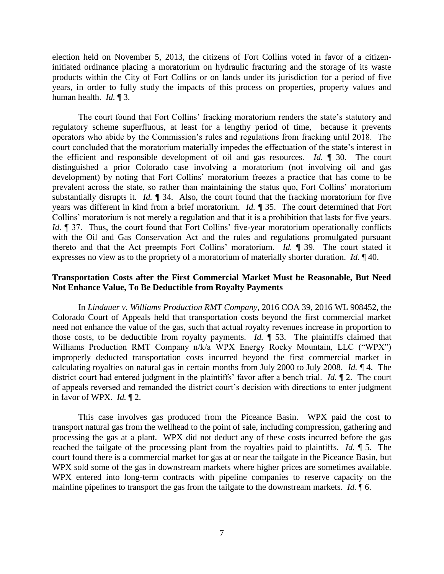election held on November 5, 2013, the citizens of Fort Collins voted in favor of a citizeninitiated ordinance placing a moratorium on hydraulic fracturing and the storage of its waste products within the City of Fort Collins or on lands under its jurisdiction for a period of five years, in order to fully study the impacts of this process on properties, property values and human health. *Id.* ¶ 3.

The court found that Fort Collins' fracking moratorium renders the state's statutory and regulatory scheme superfluous, at least for a lengthy period of time, because it prevents operators who abide by the Commission's rules and regulations from fracking until 2018. The court concluded that the moratorium materially impedes the effectuation of the state's interest in the efficient and responsible development of oil and gas resources. *Id.* ¶ 30. The court distinguished a prior Colorado case involving a moratorium (not involving oil and gas development) by noting that Fort Collins' moratorium freezes a practice that has come to be prevalent across the state, so rather than maintaining the status quo, Fort Collins' moratorium substantially disrupts it. *Id.* 1 34. Also, the court found that the fracking moratorium for five years was different in kind from a brief moratorium. *Id.* ¶ 35. The court determined that Fort Collins' moratorium is not merely a regulation and that it is a prohibition that lasts for five years. *Id.*  $\parallel$  37. Thus, the court found that Fort Collins' five-year moratorium operationally conflicts with the Oil and Gas Conservation Act and the rules and regulations promulgated pursuant thereto and that the Act preempts Fort Collins' moratorium. *Id.* ¶ 39. The court stated it expresses no view as to the propriety of a moratorium of materially shorter duration. *Id.* ¶ 40.

## **Transportation Costs after the First Commercial Market Must be Reasonable, But Need Not Enhance Value, To Be Deductible from Royalty Payments**

In *Lindauer v. Williams Production RMT Company*, 2016 COA 39, 2016 WL 908452, the Colorado Court of Appeals held that transportation costs beyond the first commercial market need not enhance the value of the gas, such that actual royalty revenues increase in proportion to those costs, to be deductible from royalty payments. *Id.* ¶ 53. The plaintiffs claimed that Williams Production RMT Company n/k/a WPX Energy Rocky Mountain, LLC ("WPX") improperly deducted transportation costs incurred beyond the first commercial market in calculating royalties on natural gas in certain months from July 2000 to July 2008. *Id.* ¶ 4. The district court had entered judgment in the plaintiffs' favor after a bench trial. *Id.* ¶ 2. The court of appeals reversed and remanded the district court's decision with directions to enter judgment in favor of WPX. *Id.* ¶ 2.

This case involves gas produced from the Piceance Basin. WPX paid the cost to transport natural gas from the wellhead to the point of sale, including compression, gathering and processing the gas at a plant. WPX did not deduct any of these costs incurred before the gas reached the tailgate of the processing plant from the royalties paid to plaintiffs. *Id.* ¶ 5. The court found there is a commercial market for gas at or near the tailgate in the Piceance Basin, but WPX sold some of the gas in downstream markets where higher prices are sometimes available. WPX entered into long-term contracts with pipeline companies to reserve capacity on the mainline pipelines to transport the gas from the tailgate to the downstream markets. *Id.* ¶ 6.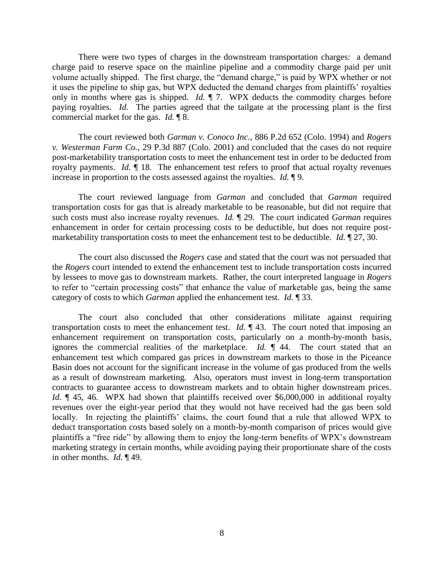There were two types of charges in the downstream transportation charges: a demand charge paid to reserve space on the mainline pipeline and a commodity charge paid per unit volume actually shipped. The first charge, the "demand charge," is paid by WPX whether or not it uses the pipeline to ship gas, but WPX deducted the demand charges from plaintiffs' royalties only in months where gas is shipped. *Id.* ¶ 7. WPX deducts the commodity charges before paying royalties. *Id.* The parties agreed that the tailgate at the processing plant is the first commercial market for the gas. *Id.* ¶ 8.

The court reviewed both *Garman v. Conoco Inc.,* 886 P.2d 652 (Colo. 1994) and *Rogers v. Westerman Farm Co.*, 29 P.3d 887 (Colo. 2001) and concluded that the cases do not require post-marketability transportation costs to meet the enhancement test in order to be deducted from royalty payments. *Id.* ¶ 18. The enhancement test refers to proof that actual royalty revenues increase in proportion to the costs assessed against the royalties. *Id.* ¶ 9.

The court reviewed language from *Garman* and concluded that *Garman* required transportation costs for gas that is already marketable to be reasonable, but did not require that such costs must also increase royalty revenues. *Id.* ¶ 29. The court indicated *Garman* requires enhancement in order for certain processing costs to be deductible, but does not require postmarketability transportation costs to meet the enhancement test to be deductible. *Id.* ¶ 27, 30.

The court also discussed the *Rogers* case and stated that the court was not persuaded that the *Rogers* court intended to extend the enhancement test to include transportation costs incurred by lessees to move gas to downstream markets. Rather, the court interpreted language in *Rogers* to refer to "certain processing costs" that enhance the value of marketable gas, being the same category of costs to which *Garman* applied the enhancement test. *Id.* ¶ 33.

The court also concluded that other considerations militate against requiring transportation costs to meet the enhancement test. *Id.* ¶ 43. The court noted that imposing an enhancement requirement on transportation costs, particularly on a month-by-month basis, ignores the commercial realities of the marketplace. *Id.* ¶ 44. The court stated that an enhancement test which compared gas prices in downstream markets to those in the Piceance Basin does not account for the significant increase in the volume of gas produced from the wells as a result of downstream marketing. Also, operators must invest in long-term transportation contracts to guarantee access to downstream markets and to obtain higher downstream prices. *Id.*  $\parallel$  45, 46. WPX had shown that plaintiffs received over \$6,000,000 in additional royalty revenues over the eight-year period that they would not have received had the gas been sold locally. In rejecting the plaintiffs' claims, the court found that a rule that allowed WPX to deduct transportation costs based solely on a month-by-month comparison of prices would give plaintiffs a "free ride" by allowing them to enjoy the long-term benefits of WPX's downstream marketing strategy in certain months, while avoiding paying their proportionate share of the costs in other months. *Id.* ¶ 49.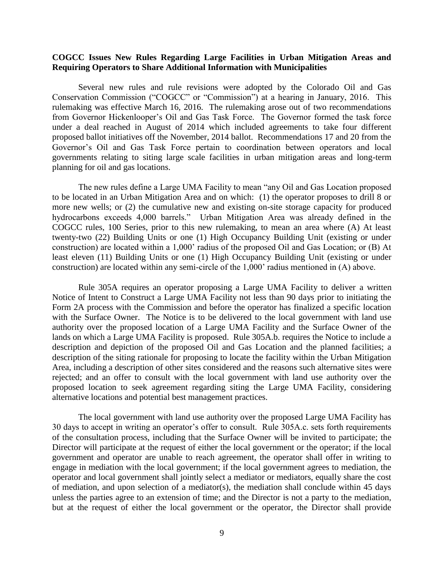## **COGCC Issues New Rules Regarding Large Facilities in Urban Mitigation Areas and Requiring Operators to Share Additional Information with Municipalities**

Several new rules and rule revisions were adopted by the Colorado Oil and Gas Conservation Commission ("COGCC" or "Commission") at a hearing in January, 2016. This rulemaking was effective March 16, 2016. The rulemaking arose out of two recommendations from Governor Hickenlooper's Oil and Gas Task Force. The Governor formed the task force under a deal reached in August of 2014 which included agreements to take four different proposed ballot initiatives off the November, 2014 ballot. Recommendations 17 and 20 from the Governor's Oil and Gas Task Force pertain to coordination between operators and local governments relating to siting large scale facilities in urban mitigation areas and long-term planning for oil and gas locations.

The new rules define a Large UMA Facility to mean "any Oil and Gas Location proposed to be located in an Urban Mitigation Area and on which: (1) the operator proposes to drill 8 or more new wells; or (2) the cumulative new and existing on-site storage capacity for produced hydrocarbons exceeds 4,000 barrels." Urban Mitigation Area was already defined in the COGCC rules, 100 Series, prior to this new rulemaking, to mean an area where (A) At least twenty-two (22) Building Units or one (1) High Occupancy Building Unit (existing or under construction) are located within a 1,000' radius of the proposed Oil and Gas Location; or (B) At least eleven (11) Building Units or one (1) High Occupancy Building Unit (existing or under construction) are located within any semi-circle of the 1,000' radius mentioned in (A) above.

Rule 305A requires an operator proposing a Large UMA Facility to deliver a written Notice of Intent to Construct a Large UMA Facility not less than 90 days prior to initiating the Form 2A process with the Commission and before the operator has finalized a specific location with the Surface Owner. The Notice is to be delivered to the local government with land use authority over the proposed location of a Large UMA Facility and the Surface Owner of the lands on which a Large UMA Facility is proposed. Rule 305A.b. requires the Notice to include a description and depiction of the proposed Oil and Gas Location and the planned facilities; a description of the siting rationale for proposing to locate the facility within the Urban Mitigation Area, including a description of other sites considered and the reasons such alternative sites were rejected; and an offer to consult with the local government with land use authority over the proposed location to seek agreement regarding siting the Large UMA Facility, considering alternative locations and potential best management practices.

The local government with land use authority over the proposed Large UMA Facility has 30 days to accept in writing an operator's offer to consult. Rule 305A.c. sets forth requirements of the consultation process, including that the Surface Owner will be invited to participate; the Director will participate at the request of either the local government or the operator; if the local government and operator are unable to reach agreement, the operator shall offer in writing to engage in mediation with the local government; if the local government agrees to mediation, the operator and local government shall jointly select a mediator or mediators, equally share the cost of mediation, and upon selection of a mediator(s), the mediation shall conclude within 45 days unless the parties agree to an extension of time; and the Director is not a party to the mediation, but at the request of either the local government or the operator, the Director shall provide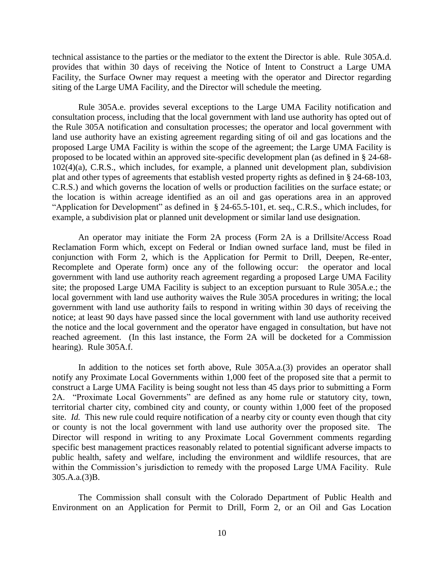technical assistance to the parties or the mediator to the extent the Director is able. Rule 305A.d. provides that within 30 days of receiving the Notice of Intent to Construct a Large UMA Facility, the Surface Owner may request a meeting with the operator and Director regarding siting of the Large UMA Facility, and the Director will schedule the meeting.

Rule 305A.e. provides several exceptions to the Large UMA Facility notification and consultation process, including that the local government with land use authority has opted out of the Rule 305A notification and consultation processes; the operator and local government with land use authority have an existing agreement regarding siting of oil and gas locations and the proposed Large UMA Facility is within the scope of the agreement; the Large UMA Facility is proposed to be located within an approved site-specific development plan (as defined in § 24-68- 102(4)(a), C.R.S., which includes, for example, a planned unit development plan, subdivision plat and other types of agreements that establish vested property rights as defined in § 24-68-103, C.R.S.) and which governs the location of wells or production facilities on the surface estate; or the location is within acreage identified as an oil and gas operations area in an approved "Application for Development" as defined in § 24-65.5-101, et. seq., C.R.S., which includes, for example, a subdivision plat or planned unit development or similar land use designation.

An operator may initiate the Form 2A process (Form 2A is a Drillsite/Access Road Reclamation Form which, except on Federal or Indian owned surface land, must be filed in conjunction with Form 2, which is the Application for Permit to Drill, Deepen, Re-enter, Recomplete and Operate form) once any of the following occur: the operator and local government with land use authority reach agreement regarding a proposed Large UMA Facility site; the proposed Large UMA Facility is subject to an exception pursuant to Rule 305A.e.; the local government with land use authority waives the Rule 305A procedures in writing; the local government with land use authority fails to respond in writing within 30 days of receiving the notice; at least 90 days have passed since the local government with land use authority received the notice and the local government and the operator have engaged in consultation, but have not reached agreement. (In this last instance, the Form 2A will be docketed for a Commission hearing). Rule 305A.f.

In addition to the notices set forth above, Rule 305A.a.(3) provides an operator shall notify any Proximate Local Governments within 1,000 feet of the proposed site that a permit to construct a Large UMA Facility is being sought not less than 45 days prior to submitting a Form 2A. "Proximate Local Governments" are defined as any home rule or statutory city, town, territorial charter city, combined city and county, or county within 1,000 feet of the proposed site. *Id.* This new rule could require notification of a nearby city or county even though that city or county is not the local government with land use authority over the proposed site. The Director will respond in writing to any Proximate Local Government comments regarding specific best management practices reasonably related to potential significant adverse impacts to public health, safety and welfare, including the environment and wildlife resources, that are within the Commission's jurisdiction to remedy with the proposed Large UMA Facility. Rule 305.A.a.(3)B.

The Commission shall consult with the Colorado Department of Public Health and Environment on an Application for Permit to Drill, Form 2, or an Oil and Gas Location